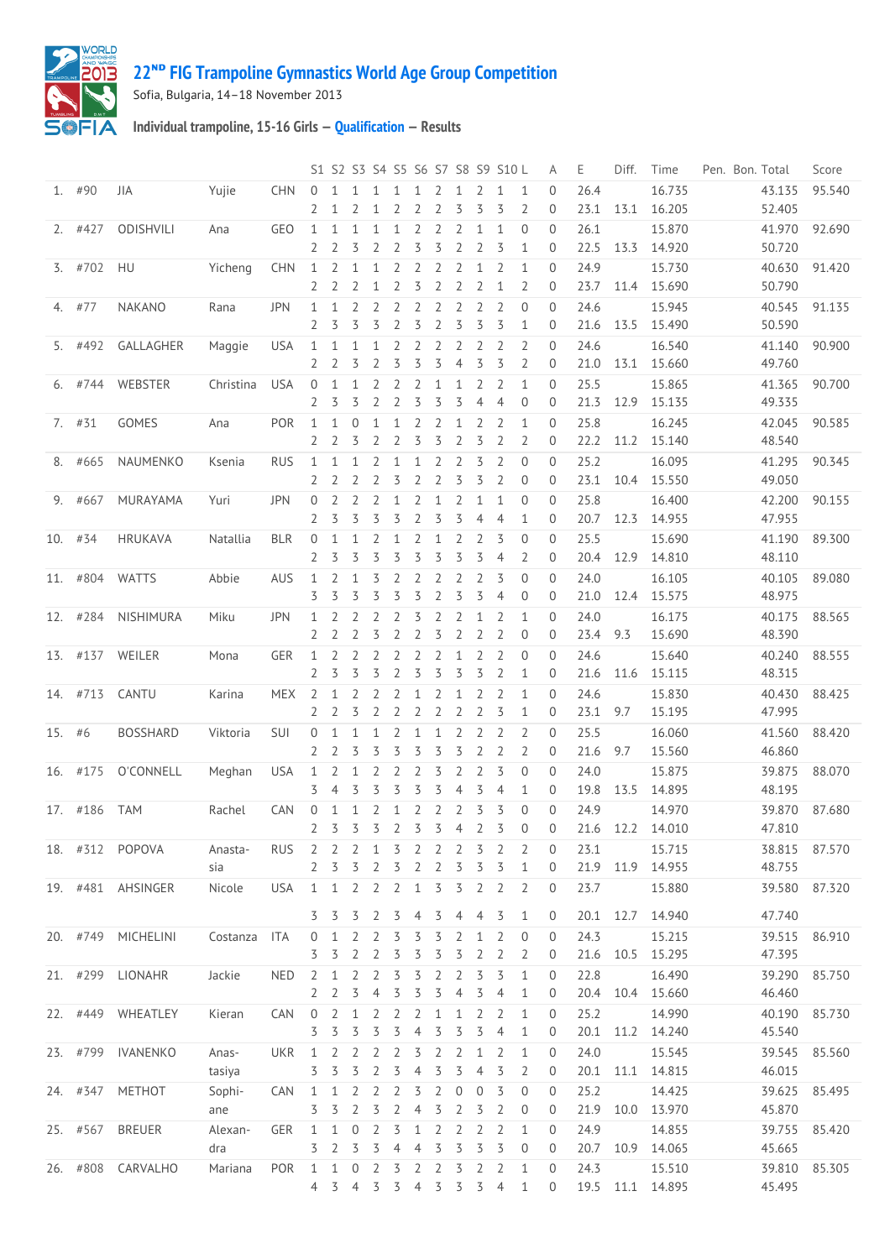

## **ᴺᴰ [FIG Trampoline Gymnastics World Age Group Competition](http://192.168.1.7:9001/event)**

Sofia, Bulgaria, 14–18 November 2013

**Individual trampoline, 15-16 Girls — [Qualification](http://192.168.1.7:9001/stage/2) — Results**

|        |           |                   |           |            |                |                |                |                |                |                |                |                | S1 S2 S3 S4 S5 S6 S7 S8 S9 S10 L |                |                | Α              | Ε         | Diff. | Time             | Pen. Bon. Total | Score         |
|--------|-----------|-------------------|-----------|------------|----------------|----------------|----------------|----------------|----------------|----------------|----------------|----------------|----------------------------------|----------------|----------------|----------------|-----------|-------|------------------|-----------------|---------------|
|        | 1. #90    | JIA               | Yujie     | <b>CHN</b> | $\Omega$       | $\mathbf{1}$   | $\mathbf{1}$   | $\mathbf{1}$   | 1              | 1              | 2              | 1              | 2                                | $\mathbf{1}$   | $\mathbf{1}$   | $\mathbf{0}$   | 26.4      |       | 16.735           | 43.135          | 95.540        |
|        |           |                   |           |            | 2              | $\mathbf{1}$   | 2              | 1              | 2              | 2              | 2              | 3              | 3                                | 3              | $\overline{2}$ | $\theta$       | 23.1      | 13.1  | 16.205           | 52.405          |               |
|        | $2.$ #427 | ODISHVILI         | Ana       | GEO        | $\mathbf{1}$   | 1              | 1              | 1              | $\mathbf{1}$   | 2              | 2              | 2              | $\mathbf{1}$                     | 1              | $\overline{0}$ | $\Omega$       | 26.1      |       | 15.870           | 41.970          | 92.690        |
|        |           |                   |           |            | 2              | 2              | 3              | 2              | 2              | 3              | 3              | $\overline{2}$ | $\overline{2}$                   | 3              | 1              | $\overline{0}$ | 22.5      | 13.3  | 14.920           | 50.720          |               |
|        | $3.$ #702 | HU                | Yicheng   | <b>CHN</b> | $\mathbf{1}$   | 2              | 1              | 1              | 2              | $\overline{2}$ | 2              | 2              | $\mathbf{1}$                     | $\overline{2}$ | $\mathbf{1}$   | $\mathbf{0}$   | 24.9      |       | 15.730           | 40.630          | 91.420        |
|        |           |                   |           |            | $\mathbf{2}$   | 2              | 2              | 1              | 2              | 3              | 2              | $\overline{2}$ | $\overline{2}$                   | 1              | $\overline{2}$ | $\overline{0}$ | 23.7      | 11.4  | 15.690           | 50.790          |               |
|        | 4. #77    | <b>NAKANO</b>     | Rana      | <b>JPN</b> | $\mathbf{1}$   | $\mathbf{1}$   | 2              | 2              | $\overline{2}$ | 2              | 2              | 2              | 2                                | $\overline{2}$ | $\overline{0}$ | $\mathbf{0}$   | 24.6      |       | 15.945           | 40.545          | 91.135        |
|        |           |                   |           |            | 2              | 3              | 3              | 3              | $\overline{2}$ | 3              | $\overline{2}$ | 3              | $\overline{5}$                   | 3              | $\mathbf{1}$   | $\mathbf{0}$   | 21.6      | 13.5  | 15.490           | 50.590          |               |
|        | 5. #492   | GALLAGHER         | Maggie    | <b>USA</b> | 1              | 1              | 1              | 1              | 2              | 2              | 2              | $\overline{2}$ | 2                                | 2              | $\overline{2}$ | $\Omega$       | 24.6      |       | 16.540           | 41.140          | 90.900        |
|        |           |                   |           |            | 2              | 2              | 3              | $\overline{2}$ | 3              | 3              | 3              | $\overline{4}$ | 3                                | 3              | 2              | $\overline{0}$ | 21.0      | 13.1  | 15.660           | 49.760          |               |
|        | 6. #744   | WEBSTER           | Christina | <b>USA</b> | $\mathbf{0}$   | 1              | 1              | 2              | 2              | 2              | 1              | 1              | 2                                | 2              | $\mathbf{1}$   | $\mathbf{0}$   | 25.5      |       | 15.865           | 41.365          | 90.700        |
|        |           |                   |           |            | 2              | 3              | 3              | 2              | 2              | 3              | 3              | 3              | $\overline{4}$                   | 4              | $\theta$       | $\overline{0}$ | 21.3      | 12.9  | 15.135           | 49.335          |               |
|        |           |                   |           |            |                |                |                |                |                |                |                |                |                                  |                |                |                |           |       |                  |                 |               |
|        | $7.$ #31  | GOMES             | Ana       | POR        | $\mathbf{1}$   | $\mathbf{1}$   | $\mathbf 0$    | $\mathbf{1}$   | $\mathbf{1}$   | $\overline{2}$ | 2              | 1              | $\overline{2}$                   | $\overline{2}$ | $\mathbf{1}$   | $\mathbf{0}$   | 25.8      |       | 16.245           | 42.045          | 90.585        |
|        |           |                   |           |            | $\overline{2}$ | 2              | 3              | $\overline{2}$ | $\overline{2}$ | 3              | 3              | $\overline{2}$ | 3                                | $\overline{2}$ | $\overline{2}$ | $\mathbf{0}$   | 22.2      | 11.2  | 15.140           | 48.540          |               |
|        | 8. #665   | NAUMENKO          | Ksenia    | <b>RUS</b> | $\mathbf{1}$   | 1              | 1              | 2              | $\mathbf 1$    | 1              | 2              | 2              | 3                                | 2              | $\overline{0}$ | $\Omega$       | 25.2      |       | 16.095           | 41.295          | 90.345        |
|        |           |                   |           |            | 2              | 2              | 2              | 2              | 3              | 2              | $\overline{2}$ | 3              | 3                                | 2              | $\mathbf{0}$   | $\mathbf{0}$   | 23.1      | 10.4  | 15.550           | 49.050          |               |
|        | 9. #667   | MURAYAMA          | Yuri      | <b>JPN</b> | 0              | 2              | 2              | $\overline{2}$ | $\mathbf{1}$   | 2              | $\mathbf{1}$   | 2              | $\mathbf{1}$                     | 1              | $\overline{0}$ | $\mathbf{0}$   | 25.8      |       | 16.400           | 42.200          | 90.155        |
|        |           |                   |           |            | 2              | 3              | 3              | 3              | 3              | $\overline{2}$ | 3              | 3              | $\overline{4}$                   | $\overline{4}$ | $\mathbf{1}$   | $\overline{0}$ | 20.7      | 12.3  | 14.955           | 47.955          |               |
|        | 10. $#34$ | <b>HRUKAVA</b>    | Natallia  | <b>BLR</b> | 0              | $\mathbf{1}$   | 1              | 2              | 1              | 2              | 1              | 2              | $\overline{2}$                   | 3              | $\overline{0}$ | $\overline{0}$ | 25.5      |       | 15.690           | 41.190          | 89.300        |
|        |           |                   |           |            | 2              | 3              | 3              | 3              | 3              | 3              | 3              | 3              | 3                                | $\overline{4}$ | 2              | $\theta$       | 20.4      | 12.9  | 14.810           | 48.110          |               |
| 11.    | #804      | <b>WATTS</b>      | Abbie     | AUS        | 1              | 2              | 1              | 3              | 2              | 2              | 2              | 2              | 2                                | 3              | $\overline{0}$ | $\mathbf{0}$   | 24.0      |       | 16.105           | 40.105          | 89.080        |
|        |           |                   |           |            | 3              | 3              | 3              | 3              | 3              | 3              | $\overline{2}$ | 3              | 3                                | $\overline{4}$ | $\overline{0}$ | $\overline{0}$ | 21.0      | 12.4  | 15.575           | 48.975          |               |
|        | 12. #284  | NISHIMURA         | Miku      | <b>JPN</b> | 1              | 2              | 2              | $\overline{2}$ | 2              | 3              | 2              | 2              | 1                                | $\overline{2}$ | $\mathbf{1}$   | $\mathbf{0}$   | 24.0      |       | 16.175           | 40.175          | 88.565        |
|        |           |                   |           |            | 2              | 2              | 2              | 3              | 2              | 2              | 3              | 2              | $\overline{2}$                   | 2              | $\theta$       | $\mathbf{0}$   | 23.4      | 9.3   | 15.690           | 48.390          |               |
|        | 13. #137  | WEILER            | Mona      | GER        | $\mathbf{1}$   | 2              | 2              | $\overline{2}$ | 2              | 2              | 2              | 1              | 2                                | $\overline{2}$ | $\overline{0}$ | $\mathbf{0}$   | 24.6      |       | 15.640           | 40.240          | 88.555        |
|        |           |                   |           |            | $\overline{2}$ | 3              | 3              | 3              | $\overline{2}$ | 3              | 3              | 3              | 3                                | $\overline{2}$ | $\mathbf{1}$   | $\mathbf 0$    | 21.6      | 11.6  | 15.115           | 48.315          |               |
|        | 14. #713  | CANTU             | Karina    | <b>MEX</b> | 2              | 1              | 2              | 2              | 2              | $\mathbf 1$    | 2              | $\mathbf 1$    | 2                                | 2              | 1              | $\mathbf{0}$   | 24.6      |       | 15.830           | 40.430          | 88.425        |
|        |           |                   |           |            | 2              | 2              | 3              | 2              | 2              | 2              | 2              | 2              | $\overline{2}$                   | 3              | 1              | $\mathbf{0}$   | 23.1      | 9.7   | 15.195           | 47.995          |               |
|        |           |                   |           | SUI        | 0              | $\mathbf{1}$   | 1              | 1              | 2              | $\mathbf{1}$   | $\mathbf{1}$   | 2              | $\overline{2}$                   | $\overline{2}$ | $\overline{2}$ | $\mathbf{0}$   | 25.5      |       |                  | 41.560          | 88.420        |
| 15. #6 |           | <b>BOSSHARD</b>   | Viktoria  |            | 2              | 2              | 3              | 3              | 3              | 3              | 3              | 3              | $\overline{2}$                   | $\overline{2}$ | $\overline{2}$ | $\mathbf{0}$   | 21.6      | 9.7   | 16.060<br>15.560 | 46.860          |               |
|        |           |                   |           |            |                |                |                |                |                |                |                |                |                                  |                |                |                |           |       |                  |                 |               |
|        | 16. #175  | O'CONNELL         | Meghan    | <b>USA</b> | $\mathbf{1}$   | 2              | 1              | 2              | 2              | 2              | 3              | $\overline{2}$ | $\overline{2}$                   | 3              | $\overline{0}$ | $\Omega$       | 24.0      |       | 15.875           | 39.875          | 88.070        |
|        |           |                   |           |            | 3              | $\overline{4}$ | 3              | 3              | 3              | 3              | 3              | $\overline{4}$ | 3                                | $\overline{4}$ | $\mathbf{1}$   | $\theta$       | 19.8      | 13.5  | 14.895           | 48.195          |               |
|        | 17. #186  | <b>TAM</b>        | Rachel    | <b>CAN</b> | 0              | 1              | 1              | 2              | $\mathbf{1}$   | 2              | 2              | 2              | 3                                | 3              | $\theta$       | $\mathbf{0}$   | 24.9      |       | 14.970           | 39.870          | 87.680        |
|        |           |                   |           |            | 2              | 3              | 3              | 3              | 2              | 3              | 3              | $\overline{4}$ | $\overline{2}$                   | 3              | $\mathbf 0$    | $\mathbf{0}$   | 21.6      | 12.2  | 14.010           | 47.810          |               |
|        | 18. #312  | POPOVA            | Anasta-   | <b>RUS</b> | $\mathbf{2}$   | 2              | 2              | 1              | 3              | 2              | 2              | 2              | 3                                | 2              | 2              | $\overline{0}$ | 23.1      |       | 15.715           |                 | 38.815 87.570 |
|        |           |                   | sia       |            | 2              | 3              | 3              | 2              | 3              | 2              | 2              | 3              | 3                                | 3              | $\mathbf{1}$   | $\overline{0}$ | 21.9      | 11.9  | 14.955           | 48.755          |               |
|        |           | 19. #481 AHSINGER | Nicole    | <b>USA</b> | 1              | $\mathbf{1}$   | $\overline{2}$ | 2              | 2              | $\mathbf{1}$   | 3              | 3              | $\overline{2}$                   | $\overline{2}$ | $\overline{2}$ | $\theta$       | 23.7      |       | 15.880           | 39.580          | 87.320        |
|        |           |                   |           |            | 3              | 3              | 3              | 2              | 3              | 4              | 3              | 4              | $\overline{4}$                   | 3              | 1              | 0              | 20.1 12.7 |       | 14.940           | 47.740          |               |
|        |           |                   |           |            |                |                |                |                |                |                |                |                |                                  |                |                |                |           |       |                  |                 |               |
|        | 20. #749  | MICHELINI         | Costanza  | ITA        | 0              | 1              | 2              | 2              | 3              | 3              | 3              | 2              | 1                                | 2              | $\theta$       | $\mathbf{0}$   | 24.3      |       | 15.215           | 39.515          | 86.910        |
|        |           |                   |           |            | 3              | 3              | 2              | 2              | 3              | 3              | 3              | 3              | $\overline{2}$                   | 2              | 2              | 0              | 21.6      | 10.5  | 15.295           | 47.395          |               |
|        |           | 21. #299 LIONAHR  | Jackie    | <b>NED</b> | $\overline{2}$ | 1              | 2              | 2              | 3              | 3              | 2              | 2              | 3                                | 3              | $\mathbf{1}$   | $\theta$       | 22.8      |       | 16.490           | 39.290          | 85.750        |
|        |           |                   |           |            | $\mathbf{2}$   | 2              | 3              | 4              | 3              | 3              | 3              | 4              | 3                                | 4              | 1              | $\overline{0}$ | 20.4      | 10.4  | 15.660           | 46.460          |               |
|        | 22. #449  | WHEATLEY          | Kieran    | CAN        | $\overline{0}$ | 2              | 1              | 2              | 2              | 2              | 1              | 1              | 2                                | 2              | $\mathbf{1}$   | $\theta$       | 25.2      |       | 14.990           | 40.190          | 85.730        |
|        |           |                   |           |            | 3              | 3              | 3              | 3              | 3              | $\overline{4}$ | 3              | 3              | 3                                | $\overline{4}$ | $\mathbf{1}$   | 0              | 20.1      |       | 11.2 14.240      | 45.540          |               |
|        | 23. #799  | IVANENKO          | Anas-     | UKR        | 1              | 2              | 2              | 2              | 2              | 3              | 2              | 2              | 1                                | 2              | 1              | $\overline{0}$ | 24.0      |       | 15.545           | 39.545          | 85.560        |
|        |           |                   | tasiya    |            | 3              | 3              | 3              | 2              | 3              | 4              | 3              | 3              | $\overline{4}$                   | 3              | 2              | 0              | 20.1      | 11.1  | 14.815           | 46.015          |               |
|        | 24. #347  | METHOT            | Sophi-    | CAN        | $\mathbf{1}$   | $\mathbf{1}$   | 2              | $\overline{2}$ | 2              | 3              | 2              | $\mathbf 0$    | $\theta$                         | 3              | $\theta$       | $\theta$       | 25.2      |       | 14.425           | 39.625          | 85.495        |
|        |           |                   | ane       |            | 3              | 3              | 2              | 3              | 2              | 4              | 3              | $\overline{2}$ | 3                                | 2              | $\overline{0}$ | $\overline{0}$ | 21.9      | 10.0  | 13.970           | 45.870          |               |
|        | 25. #567  | <b>BREUER</b>     | Alexan-   | GER        | $\mathbf 1$    | 1              | 0              | 2              | 3              | $\mathbf 1$    | 2              | 2              | 2                                | 2              | $\mathbf{1}$   | $\theta$       | 24.9      |       | 14.855           | 39.755          | 85.420        |
|        |           |                   | dra       |            | 3              | 2              | 3              | 3              | 4              | 4              | 3              | 3              | 3                                | 3              | 0              | 0              | 20.7      | 10.9  | 14.065           | 45.665          |               |
|        |           | 26. #808 CARVALHO | Mariana   | POR        | $\mathbf{1}$   | $\mathbf{1}$   | $\overline{0}$ | 2              | 3              | 2              | 2              | 3              | 2                                | 2              | $\mathbf{1}$   | $\mathbf 0$    | 24.3      |       | 15.510           | 39.810          | 85.305        |
|        |           |                   |           |            | 4 3            |                | $\overline{4}$ | 3              | 3              | $\overline{4}$ | 3              | 3              | $\overline{3}$                   | $\overline{4}$ | 1              | 0              |           |       | 19.5 11.1 14.895 | 45.495          |               |
|        |           |                   |           |            |                |                |                |                |                |                |                |                |                                  |                |                |                |           |       |                  |                 |               |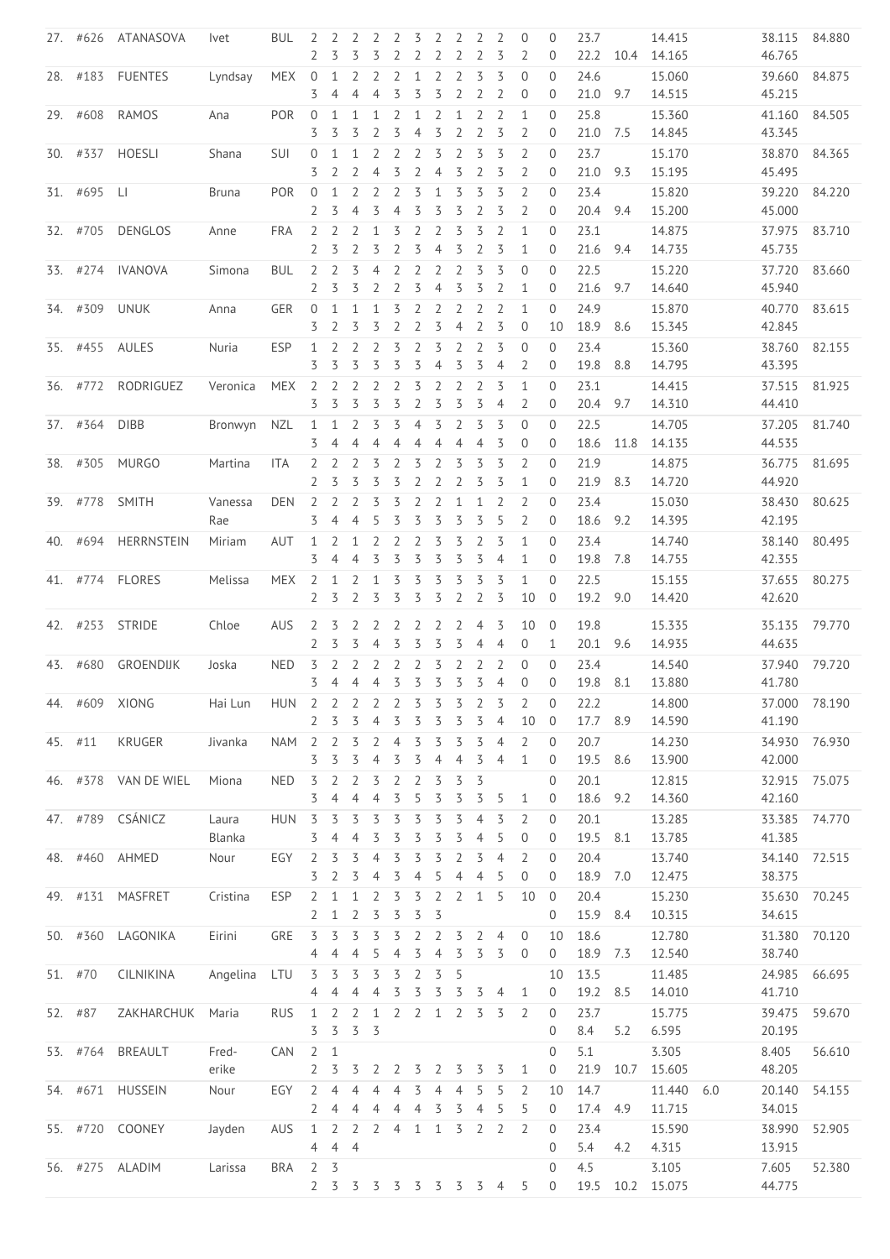|     |          | 27. #626 ATANASOVA | <i>lvet</i>                         | <b>BUL</b> | 2<br>$\overline{2}$ | 2 2 2<br>3          | 3                   |                     | $\overline{2}$      | $\overline{3}$      | 2 2                 | $\overline{2}$                   | 2<br>$\overline{2}$              | 2<br>3              | $\overline{0}$<br>2            | $\mathbf 0$                 | 23.7<br>22.2     |      | 14.415           |     | 38.115<br>46.765 | 84.880 |
|-----|----------|--------------------|-------------------------------------|------------|---------------------|---------------------|---------------------|---------------------|---------------------|---------------------|---------------------|----------------------------------|----------------------------------|---------------------|--------------------------------|-----------------------------|------------------|------|------------------|-----|------------------|--------|
|     |          |                    |                                     |            |                     |                     |                     | 3                   | 2                   | 2                   | 2                   |                                  |                                  |                     |                                | $\mathbf 0$<br>$\Omega$     |                  | 10.4 | 14.165           |     |                  |        |
|     | 28. #183 | <b>FUENTES</b>     | Lyndsay                             | <b>MEX</b> | $\overline{0}$<br>3 | 1<br>4              | 2<br>$\overline{4}$ | 2<br>4              | 2<br>$\overline{5}$ | 1<br>3              | 2<br>3              | 2<br>2                           | 3<br>2                           | 3<br>2              | $\mathbf{0}$<br>$\overline{0}$ | $\mathbf 0$                 | 24.6<br>21.0     | 9.7  | 15.060<br>14.515 |     | 39.660<br>45.215 | 84.875 |
|     |          |                    |                                     |            |                     |                     |                     |                     |                     |                     |                     |                                  |                                  |                     |                                |                             |                  |      |                  |     |                  |        |
|     | 29. #608 | <b>RAMOS</b>       | Ana                                 | POR        | $\overline{0}$<br>3 | 1<br>3              | 1<br>3              | 1<br>2              | 2<br>3              | 1<br>4              | $\overline{2}$<br>3 | $\mathbf{1}$<br>$\overline{2}$   | $\overline{2}$<br>$\overline{2}$ | $\overline{2}$<br>3 | $\mathbf{1}$<br>2              | $\mathbf{0}$<br>$\mathbf 0$ | 25.8<br>21.0 7.5 |      | 15.360<br>14.845 |     | 41.160<br>43.345 | 84.505 |
|     | 30. #337 | <b>HOESLI</b>      | Shana                               | <b>SUI</b> | $\overline{0}$      | 1                   | $\mathbf{1}$        | 2                   | 2                   | 2                   | 3                   | $\overline{2}$                   | 3                                | 3                   | $\overline{2}$                 | $\mathbf{0}$                | 23.7             |      | 15.170           |     | 38.870           | 84.365 |
|     |          |                    |                                     |            | 3                   | 2                   | $\overline{2}$      | $\overline{4}$      | 3                   | 2                   | $\overline{4}$      | 3                                | $\overline{2}$                   | 3                   | $\overline{2}$                 | $\theta$                    | 21.0             | 9.3  | 15.195           |     | 45.495           |        |
|     | 31. #695 | LI                 | <b>Bruna</b>                        | <b>POR</b> | $\overline{0}$      | 1                   | 2                   | $\overline{2}$      | 2                   | 3                   | $\mathbf{1}$        | 3                                | 3                                | 3                   | 2                              | $\mathbf 0$                 | 23.4             |      | 15.820           |     | 39.220           | 84.220 |
|     |          |                    |                                     |            | 2                   | 3                   | $\overline{4}$      | 3                   | $\overline{4}$      | 3                   | 3                   | 3                                | 2                                | 3                   | $\overline{2}$                 | $\mathbf 0$                 | 20.4             | 9.4  | 15.200           |     | 45.000           |        |
|     | 32. #705 | <b>DENGLOS</b>     |                                     | <b>FRA</b> | $\overline{2}$      | $\overline{2}$      | $\overline{2}$      | $\mathbf{1}$        | 3                   | $\overline{2}$      | 2                   | 3                                | 3                                | $\overline{2}$      | $\mathbf{1}$                   | $\mathbf{0}$                | 23.1             |      | 14.875           |     | 37.975           | 83.710 |
|     |          |                    | Anne                                |            | 2                   | 3                   | 2                   | 3                   | 2                   | 3                   | 4                   | 3                                | $\overline{2}$                   | 3                   | $\mathbf{1}$                   | $\mathbf{0}$                | 21.6             | 9.4  | 14.735           |     | 45.735           |        |
|     |          |                    |                                     |            |                     |                     |                     |                     |                     |                     |                     |                                  | 3                                |                     |                                |                             |                  |      |                  |     |                  |        |
|     | 33. #274 | <b>IVANOVA</b>     | Simona                              | <b>BUL</b> | $\overline{2}$<br>2 | $\overline{2}$<br>3 | $\overline{3}$<br>3 | $\overline{4}$<br>2 | 2<br>2              | 2<br>3              | 2<br>$\overline{4}$ | $\overline{2}$<br>3              | 3                                | 3<br>2              | $\overline{0}$<br>1            | $\mathbf{0}$<br>$\mathbf 0$ | 22.5<br>21.6     | 9.7  | 15.220<br>14.640 |     | 37.720<br>45.940 | 83.660 |
|     |          |                    |                                     |            |                     |                     |                     |                     |                     |                     |                     |                                  |                                  |                     |                                |                             |                  |      |                  |     |                  |        |
|     | 34. #309 | <b>UNUK</b>        | Anna                                | GER        | $\overline{0}$      | 1                   | 1                   | 1                   | 3                   | 2                   | 2<br>3              | 2<br>$\overline{4}$              | $\overline{2}$<br>$\overline{2}$ | 2<br>3              | $\mathbf{1}$<br>$\mathbf{0}$   | $\overline{0}$              | 24.9             |      | 15.870           |     | 40.770<br>42.845 | 83.615 |
|     |          |                    |                                     |            | 3                   | 2                   | 3                   | 3                   | 2                   | 2                   |                     |                                  |                                  |                     |                                | 10                          | 18.9             | 8.6  | 15.345           |     |                  |        |
|     |          | 35. #455 AULES     | Nuria                               | ESP        | $\mathbf{1}$        | 2                   | $\overline{2}$      | $\overline{2}$      | 3                   | $\overline{2}$      | 3                   | $\overline{2}$                   | $\overline{2}$                   | 3                   | $\theta$                       | $\mathbf{0}$                | 23.4             |      | 15.360           |     | 38.760           | 82.155 |
|     |          |                    |                                     |            | 3                   | 3                   | 3                   | 3                   | 3                   | 3                   | $\overline{4}$      | 3                                | 3                                | $\overline{4}$      | 2                              | $\mathbf{0}$                | 19.8             | 8.8  | 14.795           |     | 43.395           |        |
|     | 36. #772 | RODRIGUEZ          | Veronica                            | <b>MEX</b> | 2                   | 2                   | $\overline{2}$      | 2                   | 2                   | 3                   | 2                   | 2                                | 2                                | 3                   | $\mathbf{1}$                   | $\Omega$                    | 23.1             |      | 14.415           |     | 37.515           | 81.925 |
|     |          |                    |                                     |            | 3                   | 3                   | 3                   | 3                   | 3                   | 2                   | 3                   | 3                                | 3                                | $\overline{4}$      | $\overline{2}$                 | $\mathbf{0}$                | 20.4             | 9.7  | 14.310           |     | 44.410           |        |
|     | 37. #364 | <b>DIBB</b>        | Bronwyn                             | <b>NZL</b> | $\mathbf{1}$        | $\mathbf{1}$        | 2                   | 3                   | 3                   | $\overline{4}$      | 3                   | 2                                | 3                                | 3                   | $\mathbf{0}$                   | $\mathbf{0}$                | 22.5             |      | 14.705           |     | 37.205           | 81.740 |
|     |          |                    |                                     |            | 3                   | $\overline{4}$      | $\overline{4}$      | $\overline{4}$      | 4                   | 4                   | $\overline{4}$      | $\overline{4}$                   | $\overline{4}$                   | 3                   | $\mathbf 0$                    | $\mathbf 0$                 | 18.6             | 11.8 | 14.135           |     | 44.535           |        |
|     | 38. #305 | <b>MURGO</b>       | Martina                             | ITA        | $\overline{2}$      | 2                   | 2                   | 3                   | 2                   | 3                   | 2                   | 3                                | 3                                | 3                   | $\overline{2}$                 | $\mathbf{0}$                | 21.9             |      | 14.875           |     | 36.775           | 81.695 |
|     |          |                    |                                     |            | 2                   | 3                   | 3                   | 3                   | 3                   | 2                   | 2                   | 2                                | 3                                | 3                   | 1                              | $\mathbf 0$                 | 21.9             | 8.3  | 14.720           |     | 44.920           |        |
|     | 39. #778 | <b>SMITH</b>       | Vanessa                             | <b>DEN</b> | $\overline{2}$      | $\overline{2}$      | $\overline{2}$      | 3                   | 3                   | 2                   | 2                   | $\mathbf{1}$                     | $\mathbf{1}$                     | 2                   | 2                              | $\mathbf{0}$                | 23.4             |      | 15.030           |     | 38.430           | 80.625 |
|     |          |                    | Rae                                 |            | 3                   | 4                   | $\overline{4}$      | 5                   | 3                   | 3                   | 3                   | 3                                | 3                                | 5                   | 2                              | 0                           | 18.6             | 9.2  | 14.395           |     | 42.195           |        |
|     | 40. #694 | HERRNSTEIN         | Miriam                              | AUT        | $\mathbf{1}$        | 2                   | $\mathbf{1}$        | 2                   | 2                   | 2                   | 3                   | 3                                | $\overline{2}$                   | 3                   | $\mathbf{1}$                   | $\mathbf{0}$                | 23.4             |      | 14.740           |     | 38.140           | 80.495 |
|     |          |                    |                                     |            | 3                   | $\overline{4}$      | $\overline{4}$      | 3                   | 3                   | 3                   | 3                   | 3                                | 3                                | $\overline{4}$      | $\mathbf{1}$                   | $\mathbf 0$                 | 19.8             | 7.8  | 14.755           |     | 42.355           |        |
|     |          | 41. #774 FLORES    | Melissa                             | <b>MEX</b> | 2                   | 1                   | 2                   | $\mathbf{1}$        | 3                   | 3                   | 3                   | 3                                | 3                                | 3                   | 1                              | $\Omega$                    | 22.5             |      | 15.155           |     | 37.655           | 80.275 |
|     |          |                    |                                     |            |                     | 2 <sub>5</sub>      | $\overline{2}$      | 3                   | 3                   | 3                   | 3                   | $\overline{2}$                   | $\overline{2}$                   | 3                   | 10                             | $\overline{0}$              | 19.2 9.0         |      | 14.420           |     | 42.620           |        |
|     |          | 42. #253 STRIDE    | Chloe                               | <b>AUS</b> | $\mathbf{2}$        | 3                   | 2                   | $\overline{2}$      | 2                   | 2                   | 2                   | 2                                | 4                                | 3                   | 10                             | $\overline{0}$              | 19.8             |      | 15.335           |     | 35.135           | 79.770 |
|     |          |                    |                                     |            | 2                   | 3                   | 3                   | 4                   | 3                   | 3                   | 3                   | 3                                | $\overline{4}$                   | $\overline{4}$      | 0                              | 1                           | 20.1             | 9.6  | 14.935           |     | 44.635           |        |
|     | 43. #680 | GROENDIJK          | Joska                               | <b>NED</b> | 3                   | $\overline{2}$      | $\overline{2}$      | 2                   | 2                   | 2                   | 3                   | $\overline{2}$                   | 2                                | 2                   | $\mathbf{0}$                   | $\mathbf{0}$                | 23.4             |      | 14.540           |     | 37.940           | 79.720 |
|     |          |                    |                                     |            | 3                   | $\overline{4}$      | $\overline{4}$      | $\overline{4}$      |                     | $3 \t3 \t3 \t3 \t3$ |                     |                                  |                                  | $\overline{4}$      | $\overline{0}$                 | $\mathbf{0}$                | 19.8 8.1         |      | 13.880           |     | 41.780           |        |
|     |          | 44. #609 XIONG     | Hai Lun HUN 2 2 2 2 2 3 3 3 2 3 2 0 |            |                     |                     |                     |                     |                     |                     |                     |                                  |                                  |                     |                                |                             | 22.2             |      | 14.800           |     | 37.000 78.190    |        |
|     |          |                    |                                     |            | 2                   | 3                   | 3                   | 4                   | 3                   | 3                   | 3                   | 3                                | 3                                | 4                   | 10                             | $\mathbf 0$                 | 17.7             | 8.9  | 14.590           |     | 41.190           |        |
|     | 45. #11  | KRUGER             | Jivanka                             | <b>NAM</b> | $\overline{2}$      | 2                   | 3                   | $\overline{2}$      | $\overline{4}$      | 3                   | 3                   | 3                                | 3                                | $\overline{4}$      | $\overline{2}$                 | $\mathbf{0}$                | 20.7             |      | 14.230           |     | 34.930           | 76.930 |
|     |          |                    |                                     |            | 3                   | 3                   | 3                   | 4                   | 3                   | 3                   | $\overline{4}$      | $\overline{4}$                   | 3                                | 4                   | $\mathbf{1}$                   | $\mathbf 0$                 | 19.5             | 8.6  | 13.900           |     | 42.000           |        |
|     | 46. #378 | VAN DE WIEL        | Miona                               | <b>NED</b> | 3                   | 2                   | 2                   | 3                   | 2                   | 2                   | 3                   | 3                                | 3                                |                     |                                | $\mathbf{0}$                | 20.1             |      | 12.815           |     | 32.915           | 75.075 |
|     |          |                    |                                     |            | 3                   | 4                   | $\overline{4}$      | 4                   | 3                   | 5                   | 3                   | 3                                | 3                                | 5                   | $\mathbf{1}$                   | $\mathbf 0$                 | 18.6             | 9.2  | 14.360           |     | 42.160           |        |
|     | 47. #789 | CSÁNICZ            |                                     |            |                     |                     |                     |                     |                     |                     |                     |                                  |                                  |                     |                                |                             |                  |      |                  |     |                  |        |
|     |          |                    | Laura<br>Blanka                     | <b>HUN</b> | 3<br>3              | 3<br>4              | 3<br>4              | 3<br>3              | 3<br>3              | 3<br>3              | 3<br>3              | 3<br>3                           | 4<br>$\overline{4}$              | 3<br>5              | 2<br>$\theta$                  | $\mathbf{0}$<br>$\mathbf 0$ | 20.1<br>19.5     | 8.1  | 13.285<br>13.785 |     | 33.385<br>41.385 | 74.770 |
|     |          |                    |                                     |            |                     |                     |                     |                     |                     |                     |                     |                                  |                                  |                     |                                |                             |                  |      |                  |     |                  |        |
|     | 48. #460 | AHMED              | Nour                                | EGY        | 2<br>3              | 3<br>2              | 3<br>3              | $\overline{4}$<br>4 | 3<br>3              | 3<br>4              | 3<br>5              | $\overline{2}$<br>$\overline{4}$ | 3<br>$\overline{4}$              | $\overline{4}$<br>5 | $\overline{2}$<br>$\theta$     | $\mathbf{0}$<br>$\theta$    | 20.4<br>18.9     |      | 13.740           |     | 34.140           | 72.515 |
|     |          |                    |                                     |            |                     |                     |                     |                     |                     |                     |                     |                                  |                                  |                     |                                |                             |                  | 7.0  | 12.475           |     | 38.375           |        |
| 49. | #131     | MASFRET            | Cristina                            | ESP        | 2                   | $\mathbf{1}$        | $\mathbf{1}$        | 2                   | 3                   | 3                   | $\overline{2}$      | $\overline{2}$                   | $\mathbf{1}$                     | 5                   | 10                             | $\mathbf 0$                 | 20.4             |      | 15.230           |     | 35.630           | 70.245 |
|     |          |                    |                                     |            | 2                   | $\mathbf{1}$        | $\overline{2}$      | 3                   | 3                   | 3                   | $\overline{3}$      |                                  |                                  |                     |                                | $\overline{0}$              | 15.9             | 8.4  | 10.315           |     | 34.615           |        |
|     | 50. #360 | LAGONIKA           | Eirini                              | GRE        | 3                   | 3                   | 3                   | 3                   | 3                   | 2                   | 2                   | 3                                | $\overline{2}$                   | $\overline{4}$      | $\theta$                       | 10                          | 18.6             |      | 12.780           |     | 31.380           | 70.120 |
|     |          |                    |                                     |            | 4                   | $\overline{4}$      | $\overline{4}$      | 5                   | $\overline{4}$      | 3                   | $\overline{4}$      | 3                                | 3                                | 3                   | $\theta$                       | 0                           | 18.9             | 7.3  | 12.540           |     | 38.740           |        |
|     | 51. #70  | <b>CILNIKINA</b>   | Angelina                            | LTU        | 3                   | 3                   | 3                   | 3                   | 3                   | 2                   | 3                   | 5                                |                                  |                     |                                | 10                          | 13.5             |      | 11.485           |     | 24.985           | 66.695 |
|     |          |                    |                                     |            | 4                   | 4                   | 4                   | 4                   | 3                   | 3                   | 3                   | 3                                | 3                                | 4                   | 1                              | $\overline{0}$              | 19.2             | 8.5  | 14.010           |     | 41.710           |        |
|     | 52. #87  | ZAKHARCHUK         | Maria                               | <b>RUS</b> | $\mathbf{1}$        | $\overline{2}$      | $\overline{2}$      | $\mathbf{1}$        | $\overline{2}$      | 2                   | $\mathbf{1}$        | 2                                | 3                                | 3                   | 2                              | 0                           | 23.7             |      | 15.775           |     | 39.475           | 59.670 |
|     |          |                    |                                     |            | 3                   | 3                   | 3                   | 3                   |                     |                     |                     |                                  |                                  |                     |                                | $\overline{0}$              | 8.4              | 5.2  | 6.595            |     | 20.195           |        |
|     | 53. #764 | <b>BREAULT</b>     | Fred-                               | CAN        | $2 \quad 1$         |                     |                     |                     |                     |                     |                     |                                  |                                  |                     |                                | $\mathbf{0}$                | 5.1              |      | 3.305            |     | 8.405            | 56.610 |
|     |          |                    | erike                               |            | 2                   | 3                   | 3                   | 2                   | 2                   | 3                   | 2                   | 3                                | 3                                | 3                   | 1                              | $\theta$                    | 21.9             | 10.7 | 15.605           |     | 48.205           |        |
|     | 54. #671 | <b>HUSSEIN</b>     | Nour                                | EGY        | 2                   | 4                   | $\overline{4}$      | 4                   | 4                   | 3                   | 4                   | 4                                | 5                                | 5                   | $\overline{2}$                 | 10                          | 14.7             |      | 11.440           | 6.0 | 20.140           | 54.155 |
|     |          |                    |                                     |            | 2                   | 4                   | 4                   | 4                   | 4                   | 4                   | 3                   | 3                                | $\overline{4}$                   | 5                   | 5                              | $\theta$                    | 17.4             | 4.9  | 11.715           |     | 34.015           |        |
|     | 55. #720 | COONEY             | Jayden                              | <b>AUS</b> | $\mathbf{1}$        | $\overline{2}$      | $\overline{2}$      | $\overline{2}$      | $\overline{4}$      | $\mathbf{1}$        | $\mathbf{1}$        | 3                                | $\overline{2}$                   | $\overline{2}$      | 2                              | $\overline{0}$              | 23.4             |      | 15.590           |     | 38.990           | 52.905 |
|     |          |                    |                                     |            | 4                   | $\overline{4}$      | $\overline{4}$      |                     |                     |                     |                     |                                  |                                  |                     |                                | $\overline{0}$              | 5.4              | 4.2  | 4.315            |     | 13.915           |        |
|     |          |                    |                                     |            |                     |                     |                     |                     |                     |                     |                     |                                  |                                  |                     |                                |                             |                  |      |                  |     |                  |        |
|     |          | 56. #275 ALADIM    | Larissa                             | <b>BRA</b> | $\overline{2}$      | 3<br>2 <sub>5</sub> |                     |                     |                     |                     |                     |                                  |                                  |                     |                                | $\mathbf{0}$                | 4.5              |      | 3.105            |     | 7.605            | 52.380 |